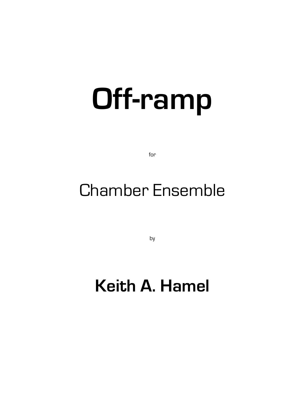# Off-ramp

for

## **Chamber Ensemble**

by

### **Keith A. Hamel**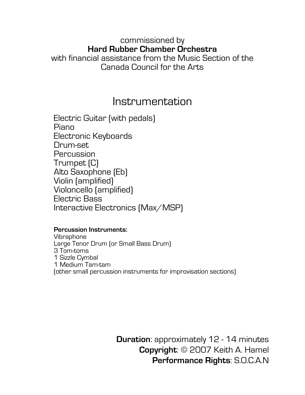#### commissioned by

#### **Hard Rubber Chamber Orchestra**

with financial assistance from the Music Section of the Canada Council for the Arts

### Instrumentation

Electric Guitar (with pedals) Piano Electronic Keyboards Drum-set Percussion Trumpet [C] Alto Saxophone (Eb) Violin (amplified) Violoncello (amplified) Electric Bass Interactive Electronics (Max/MSP)

#### **Percussion Instruments:**

Vibraphone Large Tenor Drum (or Small Bass Drum) 3 Tom-toms 1 Sizzle Cymbal 1 Medium Tam-tam (other small percussion instruments for improvisation sections)

> **Duration: approximately 12 - 14 minutes Copyright: © 2007 Keith A. Hamel** Performance Rights: S.O.C.A.N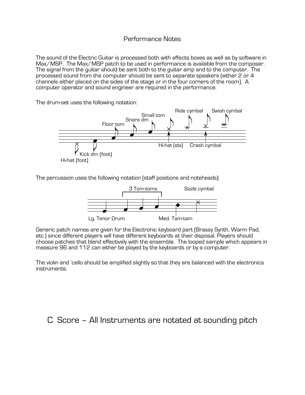#### Performance Notes

The sound of the Electric Guitar is processed both with effects boxes as well as by software in Max/MSP. The Max/MSP patch to be used in performance is available from the composer. The signal from the guitar should be sent both to the guitar amp and to the computer. The processed sound from the computer should be sent to separate speakers (either 2 or 4 channels either placed on the sides of the stage or in the four corners of the room). A computer operator and sound engineer are required in the performance.

The drum-set uses the following notation:



The percussion uses the following notation (staff positions and noteheads):



Generic patch names are given for the Electronic keyboard part (Brassy Synth, Warm Pad, etc.) since different players will have different keyboards at their disposal. Players should choose patches that blend effectively with the ensemble. The looped sample which appears in measure 96 and 112 can either be played by the keyboards or by a computer.

The violin and 'cello should be amplified slightly so that they are balanced with the electronics instruments.

#### C Score – All Instruments are notated at sounding pitch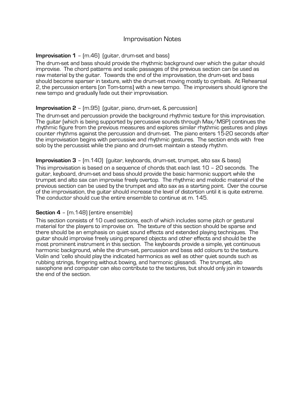#### Improvisation Notes

#### **Improvisation 1** – (m.46) (guitar, drum-set and bass)

The drum-set and bass should provide the rhythmic background over which the guitar should improvise. The chord patterns and scalic passages of the previous section can be used as raw material by the guitar. Towards the end of the improvisation, the drum-set and bass should become sparser in texture, with the drum-set moving mostly to cymbals. At Rehearsal 2, the percussion enters (on Tom-toms) with a new tempo. The improvisers should ignore the new tempo and gradually fade out their improvisation.

#### **Improvisation 2** – (m.95) (guitar, piano, drum-set, & percussion)

The drum-set and percussion provide the background rhythmic texture for this improvisation. The guitar (which is being supported by percussive sounds through Max/MSP) continues the rhythmic figure from the previous measures and explores similar rhythmic gestures and plays counter rhythms against the percussion and drum-set. The piano enters 15-20 seconds after the improvisation begins with percussive and rhythmic gestures. The section ends with free solo by the percussist while the piano and drum-set maintain a steady rhythm.

#### **Improvisation 3** – (m.140) (guitar, keyboards, drum-set, trumpet, alto sax & bass)

This improvisation is based on a sequence of chords that each last 10 – 20 seconds. The guitar, keyboard, drum-set and bass should provide the basic harmonic support while the trumpet and alto sax can improvise freely overtop. The rhythmic and melodic material of the previous section can be used by the trumpet and alto sax as a starting point. Over the course of the improvisation, the guitar should increase the level of distortion until it is quite extreme. The conductor should cue the entire ensemble to continue at m. 145.

#### **Section 4** – (m.148) (entire ensemble)

This section consists of 10 cued sections, each of which includes some pitch or gestural material for the players to improvise on. The texture of this section should be sparse and there should be an emphasis on quiet sound effects and extended playing techniques. The guitar should improvise freely using prepared objects and other effects and should be the most prominent instrument in this section. The keyboards provide a simple, yet continuous harmonic background, while the drum-set, percussion and bass add colours to the texture. Violin and 'cello should play the indicated harmonics as well as other quiet sounds such as rubbing strings, fingering without bowing, and harmonic glissandi. The trumpet, alto saxophone and computer can also contribute to the textures, but should only join in towards the end of the section.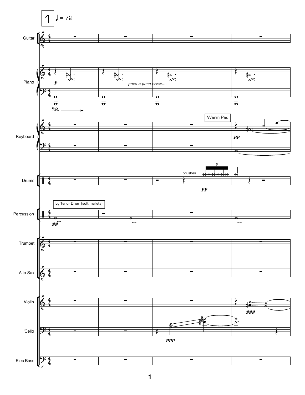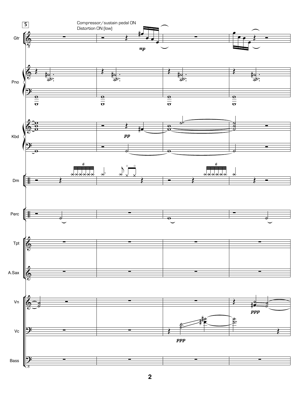

 $\overline{\mathbf{2}}$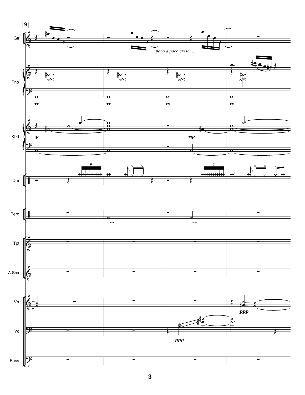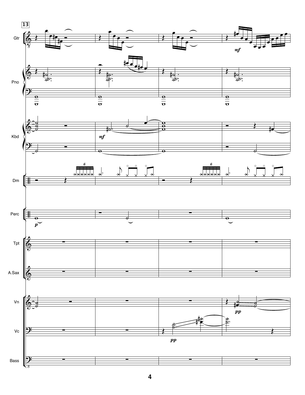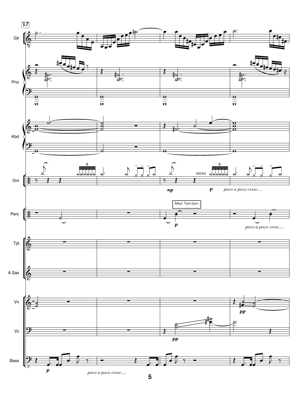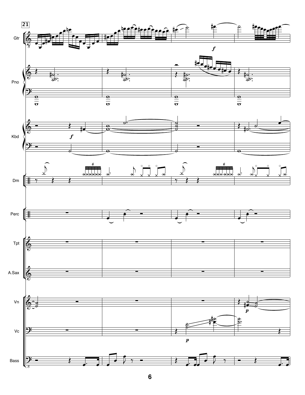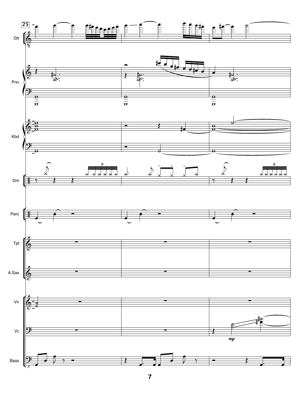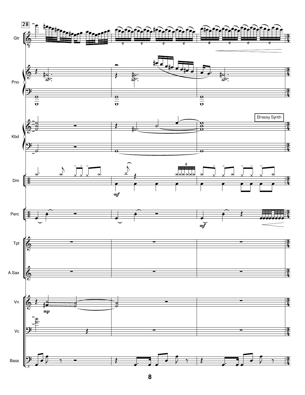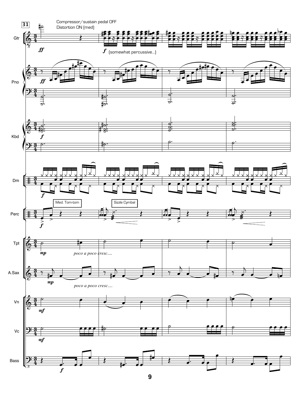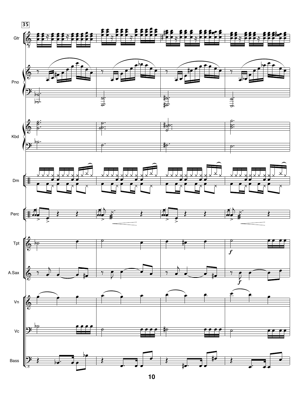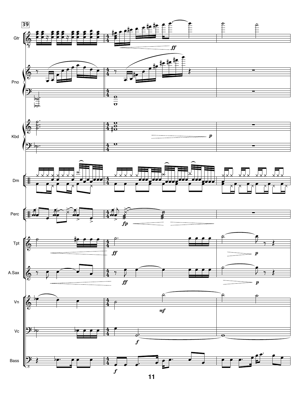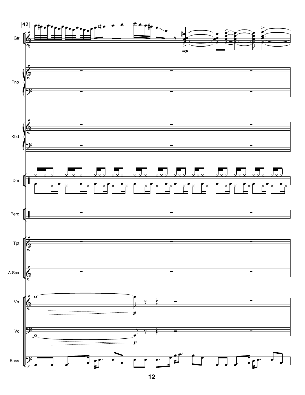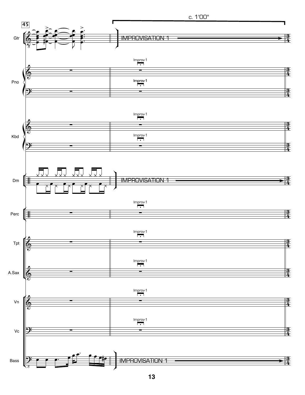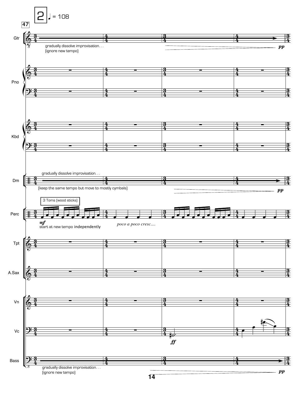

 $\overline{14}$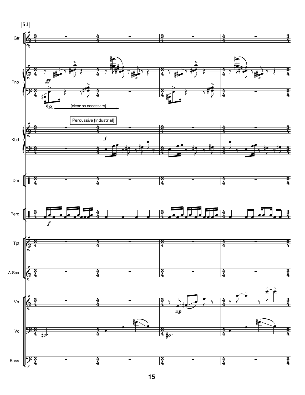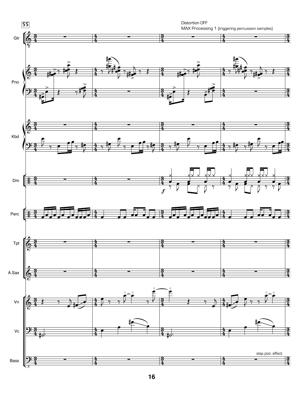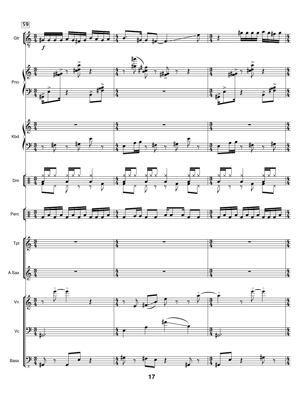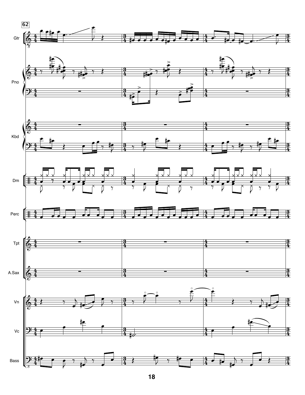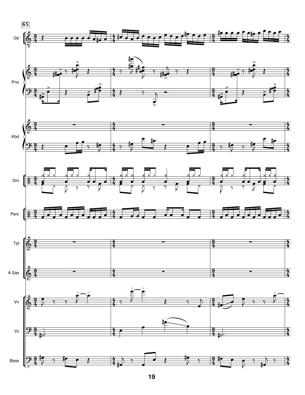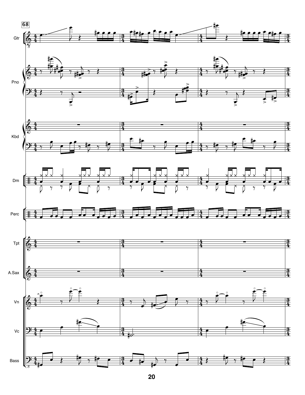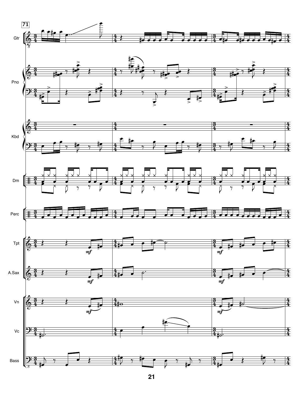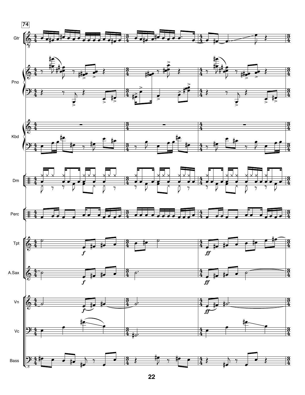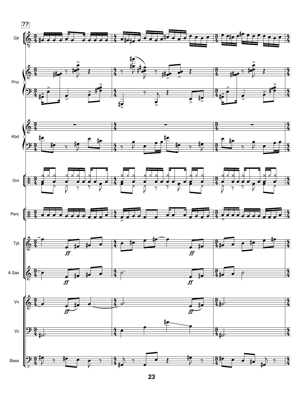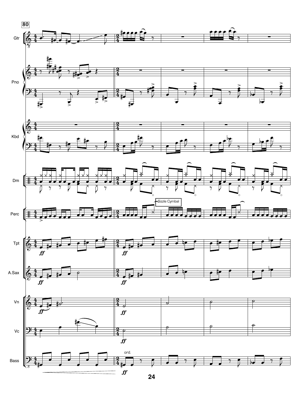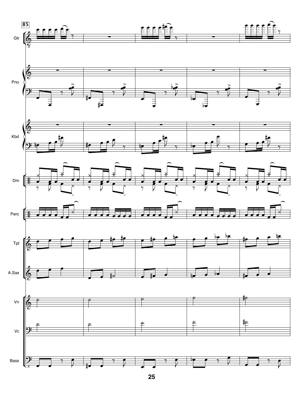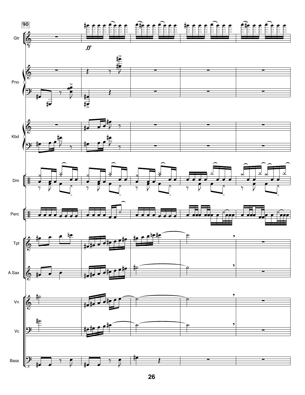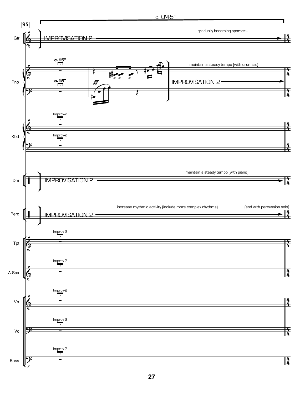

c. 0'45"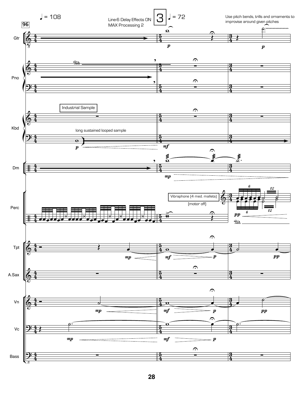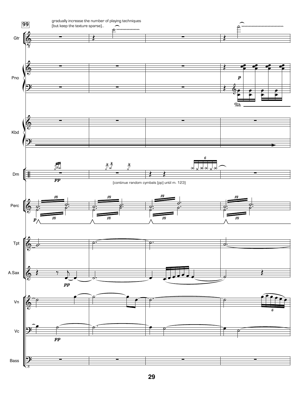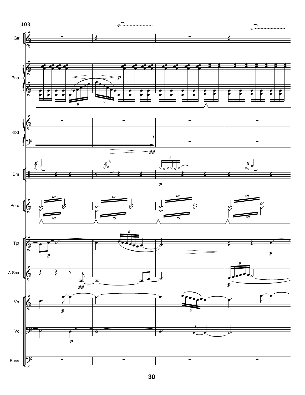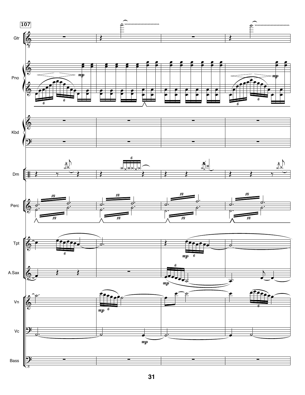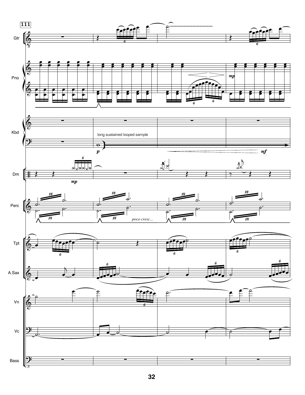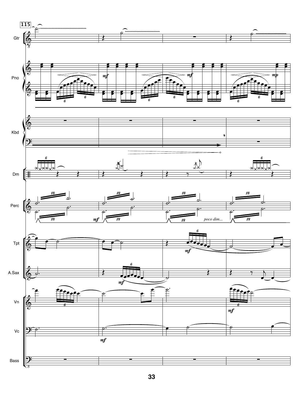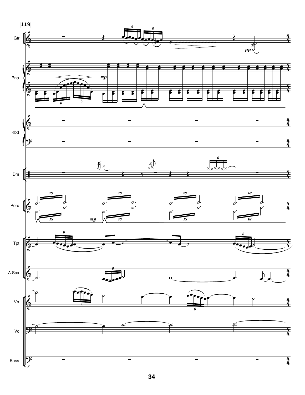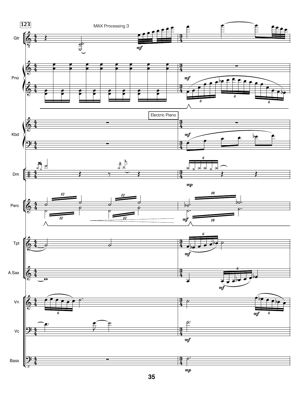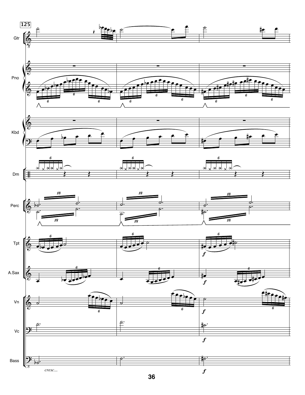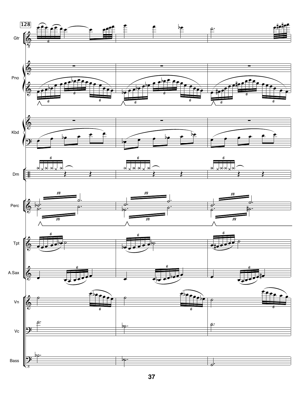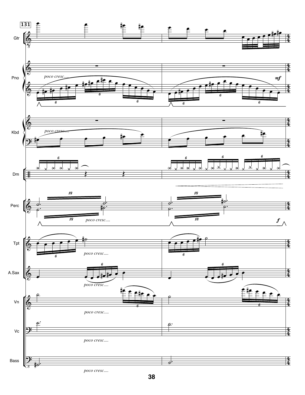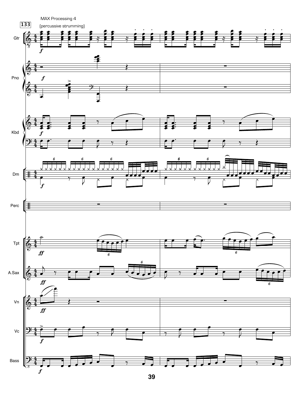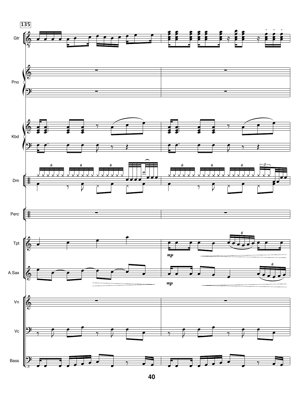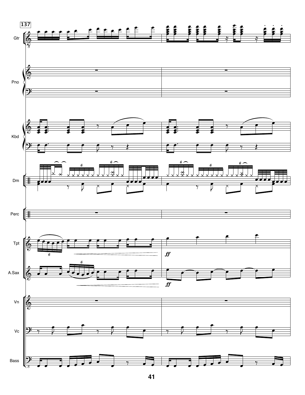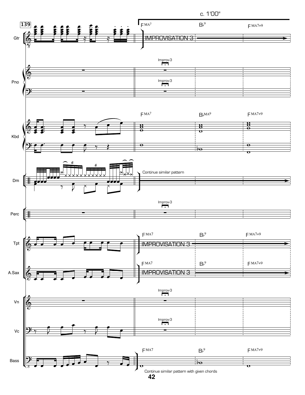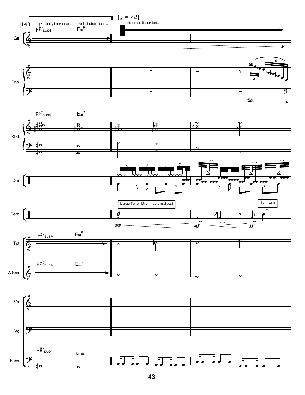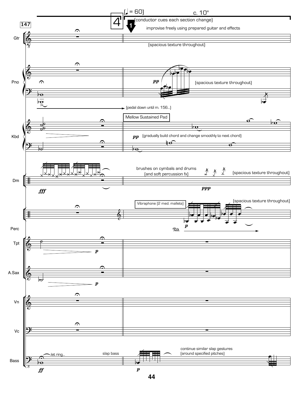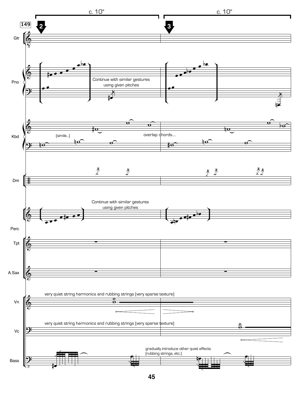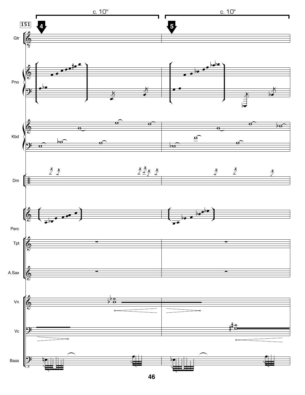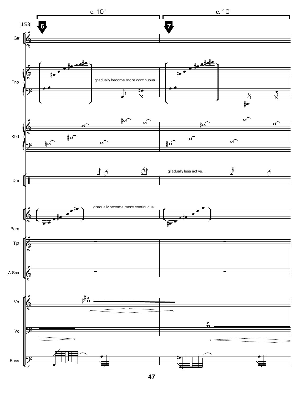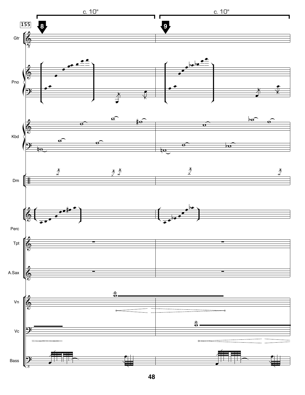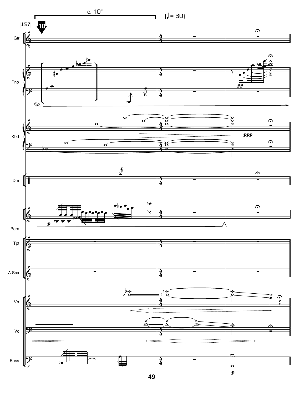

 $\boldsymbol{p}$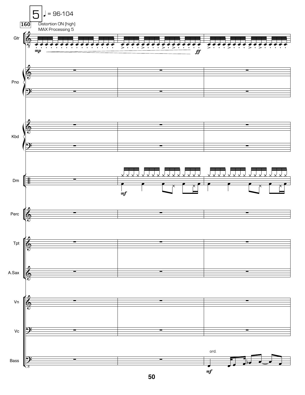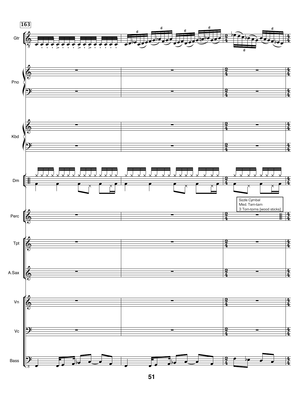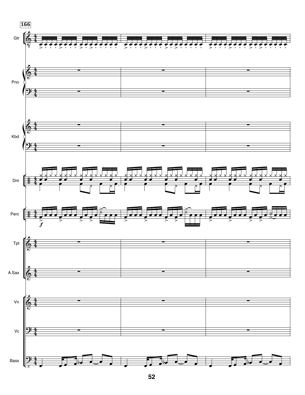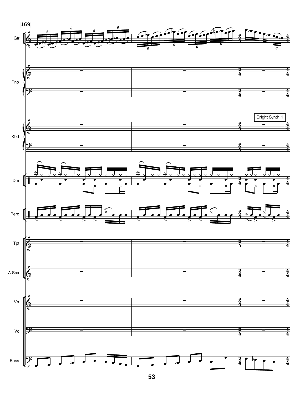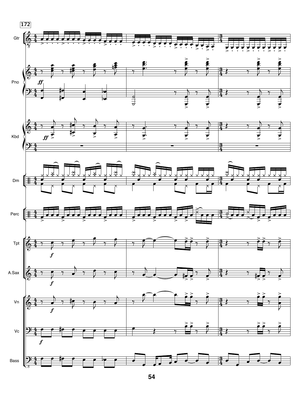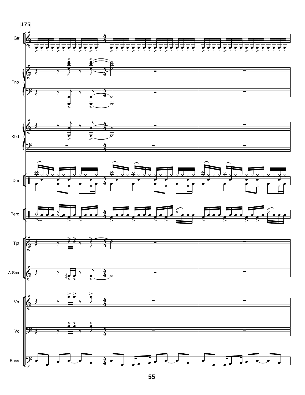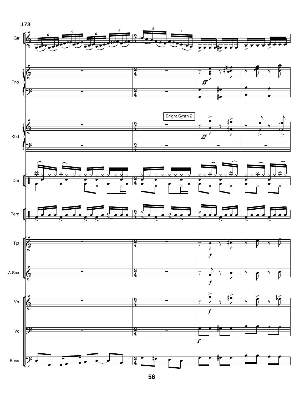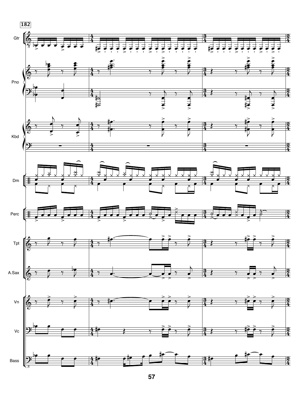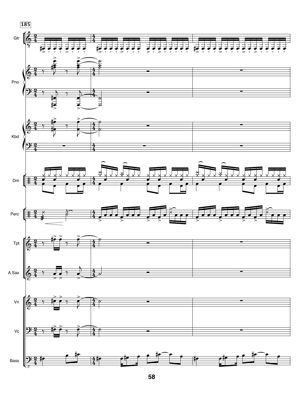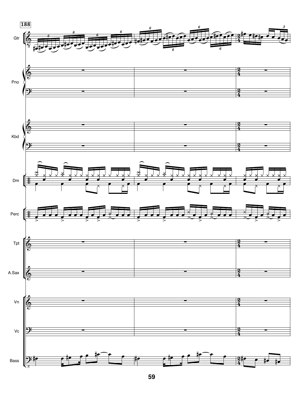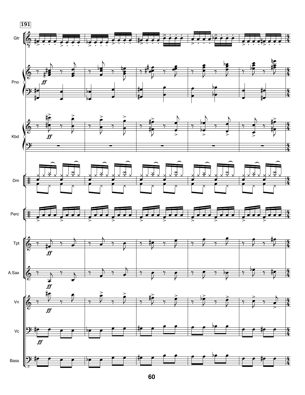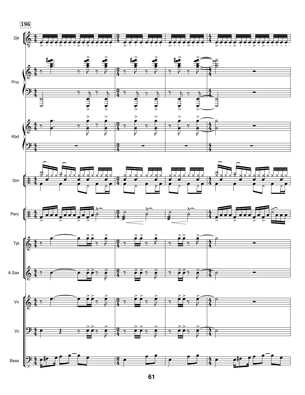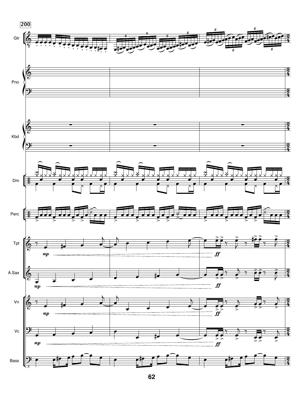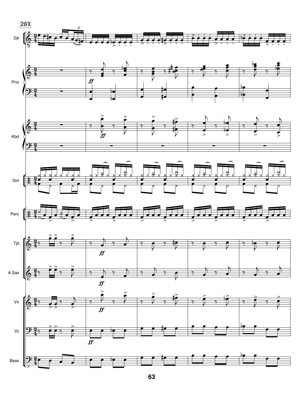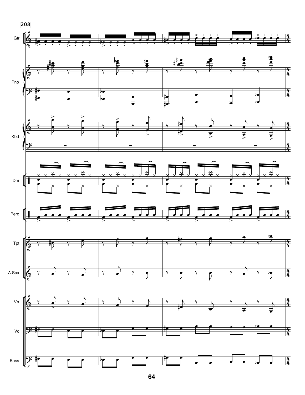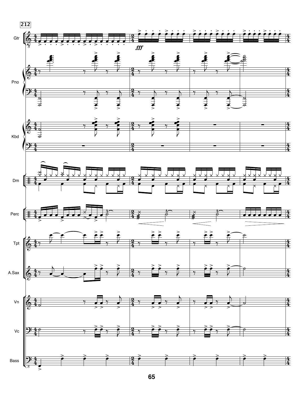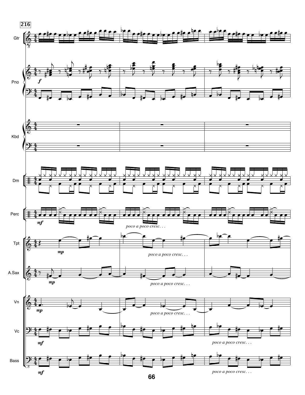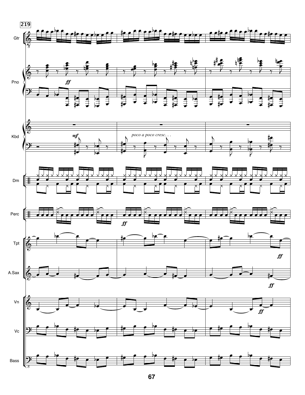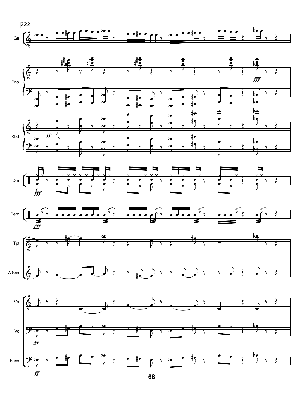